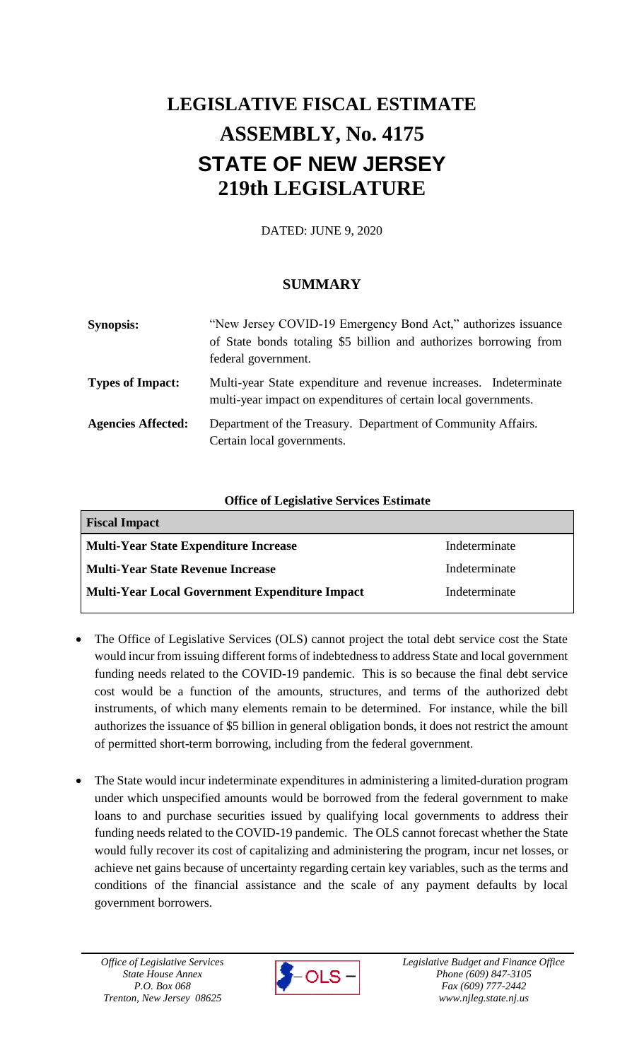# **LEGISLATIVE FISCAL ESTIMATE ASSEMBLY, No. 4175 STATE OF NEW JERSEY 219th LEGISLATURE**

DATED: JUNE 9, 2020

# **SUMMARY**

| <b>Synopsis:</b>          | "New Jersey COVID-19 Emergency Bond Act," authorizes issuance<br>of State bonds totaling \$5 billion and authorizes borrowing from<br>federal government. |
|---------------------------|-----------------------------------------------------------------------------------------------------------------------------------------------------------|
| <b>Types of Impact:</b>   | Multi-year State expenditure and revenue increases. Indeterminate<br>multi-year impact on expenditures of certain local governments.                      |
| <b>Agencies Affected:</b> | Department of the Treasury. Department of Community Affairs.<br>Certain local governments.                                                                |

## **Office of Legislative Services Estimate**

| <b>Fiscal Impact</b>                           |               |  |
|------------------------------------------------|---------------|--|
| Multi-Year State Expenditure Increase          | Indeterminate |  |
| Multi-Year State Revenue Increase              | Indeterminate |  |
| Multi-Year Local Government Expenditure Impact | Indeterminate |  |
|                                                |               |  |

- The Office of Legislative Services (OLS) cannot project the total debt service cost the State would incur from issuing different forms of indebtedness to address State and local government funding needs related to the COVID-19 pandemic. This is so because the final debt service cost would be a function of the amounts, structures, and terms of the authorized debt instruments, of which many elements remain to be determined. For instance, while the bill authorizes the issuance of \$5 billion in general obligation bonds, it does not restrict the amount of permitted short-term borrowing, including from the federal government.
- The State would incur indeterminate expenditures in administering a limited-duration program under which unspecified amounts would be borrowed from the federal government to make loans to and purchase securities issued by qualifying local governments to address their funding needs related to the COVID-19 pandemic. The OLS cannot forecast whether the State would fully recover its cost of capitalizing and administering the program, incur net losses, or achieve net gains because of uncertainty regarding certain key variables, such as the terms and conditions of the financial assistance and the scale of any payment defaults by local government borrowers.

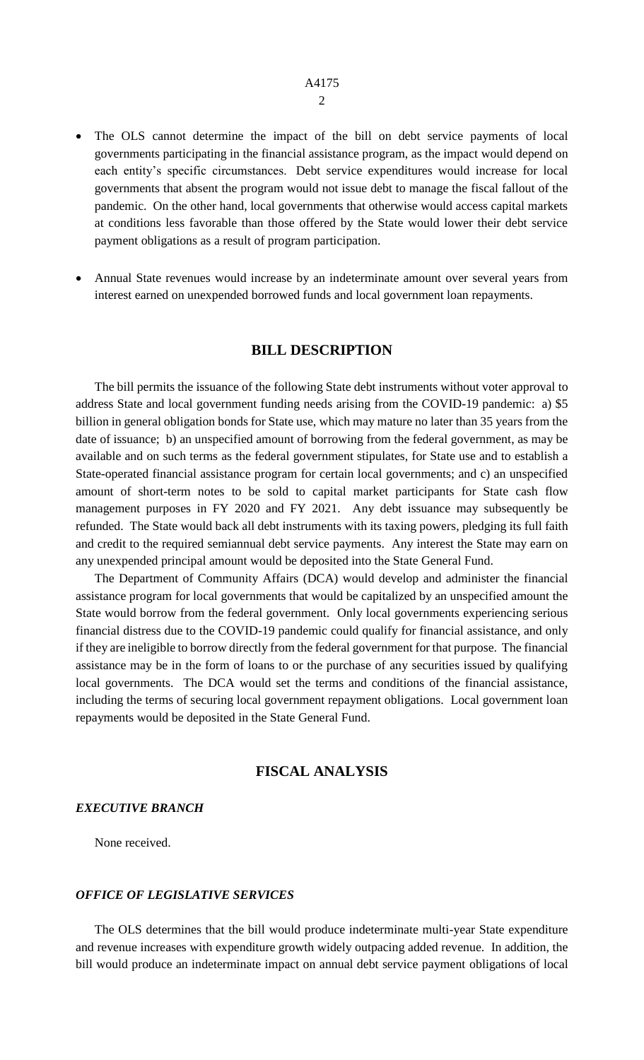- The OLS cannot determine the impact of the bill on debt service payments of local governments participating in the financial assistance program, as the impact would depend on each entity's specific circumstances. Debt service expenditures would increase for local governments that absent the program would not issue debt to manage the fiscal fallout of the pandemic. On the other hand, local governments that otherwise would access capital markets at conditions less favorable than those offered by the State would lower their debt service payment obligations as a result of program participation.
- Annual State revenues would increase by an indeterminate amount over several years from interest earned on unexpended borrowed funds and local government loan repayments.

#### **BILL DESCRIPTION**

The bill permits the issuance of the following State debt instruments without voter approval to address State and local government funding needs arising from the COVID-19 pandemic: a) \$5 billion in general obligation bonds for State use, which may mature no later than 35 years from the date of issuance; b) an unspecified amount of borrowing from the federal government, as may be available and on such terms as the federal government stipulates, for State use and to establish a State-operated financial assistance program for certain local governments; and c) an unspecified amount of short-term notes to be sold to capital market participants for State cash flow management purposes in FY 2020 and FY 2021. Any debt issuance may subsequently be refunded. The State would back all debt instruments with its taxing powers, pledging its full faith and credit to the required semiannual debt service payments. Any interest the State may earn on any unexpended principal amount would be deposited into the State General Fund.

The Department of Community Affairs (DCA) would develop and administer the financial assistance program for local governments that would be capitalized by an unspecified amount the State would borrow from the federal government. Only local governments experiencing serious financial distress due to the COVID-19 pandemic could qualify for financial assistance, and only if they are ineligible to borrow directly from the federal government for that purpose. The financial assistance may be in the form of loans to or the purchase of any securities issued by qualifying local governments. The DCA would set the terms and conditions of the financial assistance, including the terms of securing local government repayment obligations. Local government loan repayments would be deposited in the State General Fund.

### **FISCAL ANALYSIS**

#### *EXECUTIVE BRANCH*

None received.

#### *OFFICE OF LEGISLATIVE SERVICES*

The OLS determines that the bill would produce indeterminate multi-year State expenditure and revenue increases with expenditure growth widely outpacing added revenue. In addition, the bill would produce an indeterminate impact on annual debt service payment obligations of local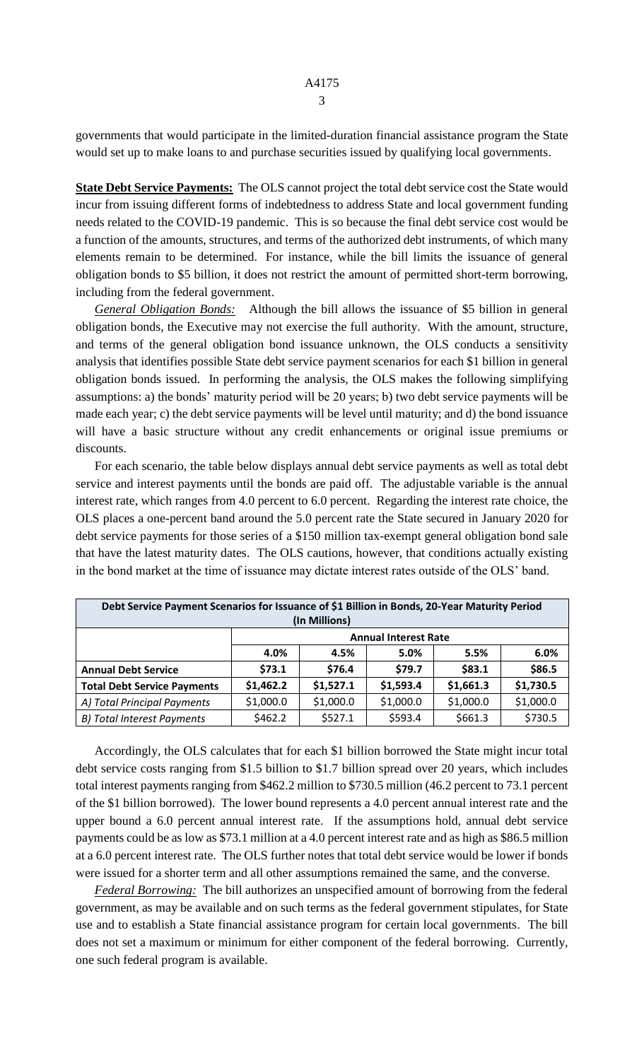governments that would participate in the limited-duration financial assistance program the State would set up to make loans to and purchase securities issued by qualifying local governments.

**State Debt Service Payments:** The OLS cannot project the total debt service cost the State would incur from issuing different forms of indebtedness to address State and local government funding needs related to the COVID-19 pandemic. This is so because the final debt service cost would be a function of the amounts, structures, and terms of the authorized debt instruments, of which many elements remain to be determined. For instance, while the bill limits the issuance of general obligation bonds to \$5 billion, it does not restrict the amount of permitted short-term borrowing, including from the federal government.

*General Obligation Bonds:* Although the bill allows the issuance of \$5 billion in general obligation bonds, the Executive may not exercise the full authority. With the amount, structure, and terms of the general obligation bond issuance unknown, the OLS conducts a sensitivity analysis that identifies possible State debt service payment scenarios for each \$1 billion in general obligation bonds issued. In performing the analysis, the OLS makes the following simplifying assumptions: a) the bonds' maturity period will be 20 years; b) two debt service payments will be made each year; c) the debt service payments will be level until maturity; and d) the bond issuance will have a basic structure without any credit enhancements or original issue premiums or discounts.

For each scenario, the table below displays annual debt service payments as well as total debt service and interest payments until the bonds are paid off. The adjustable variable is the annual interest rate, which ranges from 4.0 percent to 6.0 percent. Regarding the interest rate choice, the OLS places a one-percent band around the 5.0 percent rate the State secured in January 2020 for debt service payments for those series of a \$150 million tax-exempt general obligation bond sale that have the latest maturity dates. The OLS cautions, however, that conditions actually existing in the bond market at the time of issuance may dictate interest rates outside of the OLS' band.

| Debt Service Payment Scenarios for Issuance of \$1 Billion in Bonds, 20-Year Maturity Period |                             |           |           |           |           |  |  |  |
|----------------------------------------------------------------------------------------------|-----------------------------|-----------|-----------|-----------|-----------|--|--|--|
| (In Millions)                                                                                |                             |           |           |           |           |  |  |  |
|                                                                                              | <b>Annual Interest Rate</b> |           |           |           |           |  |  |  |
|                                                                                              | 4.0%                        | 4.5%      | 5.0%      | 5.5%      | 6.0%      |  |  |  |
| <b>Annual Debt Service</b>                                                                   | \$73.1                      | \$76.4    | \$79.7    | \$83.1    | \$86.5    |  |  |  |
| <b>Total Debt Service Payments</b>                                                           | \$1,462.2                   | \$1,527.1 | \$1,593.4 | \$1,661.3 | \$1,730.5 |  |  |  |
| A) Total Principal Payments                                                                  | \$1,000.0                   | \$1,000.0 | \$1,000.0 | \$1,000.0 | \$1,000.0 |  |  |  |
| <b>B) Total Interest Payments</b>                                                            | \$462.2                     | \$527.1   | \$593.4   | \$661.3   | \$730.5   |  |  |  |

Accordingly, the OLS calculates that for each \$1 billion borrowed the State might incur total debt service costs ranging from \$1.5 billion to \$1.7 billion spread over 20 years, which includes total interest payments ranging from \$462.2 million to \$730.5 million (46.2 percent to 73.1 percent of the \$1 billion borrowed). The lower bound represents a 4.0 percent annual interest rate and the upper bound a 6.0 percent annual interest rate. If the assumptions hold, annual debt service payments could be as low as \$73.1 million at a 4.0 percent interest rate and as high as \$86.5 million at a 6.0 percent interest rate. The OLS further notes that total debt service would be lower if bonds were issued for a shorter term and all other assumptions remained the same, and the converse.

*Federal Borrowing:* The bill authorizes an unspecified amount of borrowing from the federal government, as may be available and on such terms as the federal government stipulates, for State use and to establish a State financial assistance program for certain local governments. The bill does not set a maximum or minimum for either component of the federal borrowing. Currently, one such federal program is available.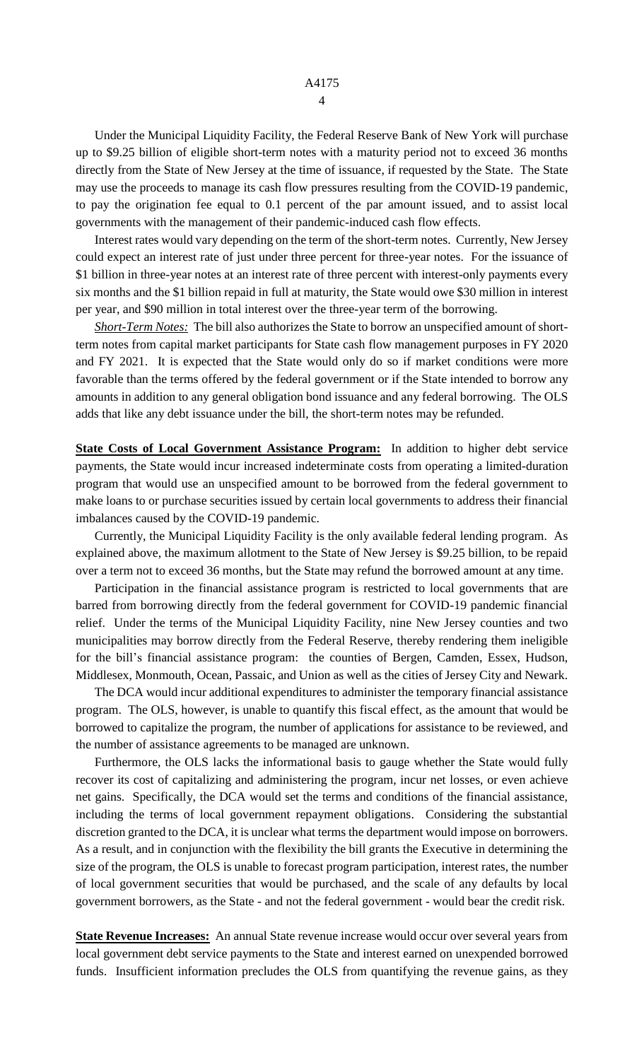Under the Municipal Liquidity Facility, the Federal Reserve Bank of New York will purchase up to \$9.25 billion of eligible short-term notes with a maturity period not to exceed 36 months directly from the State of New Jersey at the time of issuance, if requested by the State. The State may use the proceeds to manage its cash flow pressures resulting from the COVID-19 pandemic, to pay the origination fee equal to 0.1 percent of the par amount issued, and to assist local governments with the management of their pandemic-induced cash flow effects.

Interest rates would vary depending on the term of the short-term notes. Currently, New Jersey could expect an interest rate of just under three percent for three-year notes. For the issuance of \$1 billion in three-year notes at an interest rate of three percent with interest-only payments every six months and the \$1 billion repaid in full at maturity, the State would owe \$30 million in interest per year, and \$90 million in total interest over the three-year term of the borrowing.

*Short-Term Notes:* The bill also authorizes the State to borrow an unspecified amount of shortterm notes from capital market participants for State cash flow management purposes in FY 2020 and FY 2021. It is expected that the State would only do so if market conditions were more favorable than the terms offered by the federal government or if the State intended to borrow any amounts in addition to any general obligation bond issuance and any federal borrowing. The OLS adds that like any debt issuance under the bill, the short-term notes may be refunded.

**State Costs of Local Government Assistance Program:** In addition to higher debt service payments, the State would incur increased indeterminate costs from operating a limited-duration program that would use an unspecified amount to be borrowed from the federal government to make loans to or purchase securities issued by certain local governments to address their financial imbalances caused by the COVID-19 pandemic.

Currently, the Municipal Liquidity Facility is the only available federal lending program. As explained above, the maximum allotment to the State of New Jersey is \$9.25 billion, to be repaid over a term not to exceed 36 months, but the State may refund the borrowed amount at any time.

Participation in the financial assistance program is restricted to local governments that are barred from borrowing directly from the federal government for COVID-19 pandemic financial relief. Under the terms of the Municipal Liquidity Facility, nine New Jersey counties and two municipalities may borrow directly from the Federal Reserve, thereby rendering them ineligible for the bill's financial assistance program: the counties of Bergen, Camden, Essex, Hudson, Middlesex, Monmouth, Ocean, Passaic, and Union as well as the cities of Jersey City and Newark.

The DCA would incur additional expenditures to administer the temporary financial assistance program. The OLS, however, is unable to quantify this fiscal effect, as the amount that would be borrowed to capitalize the program, the number of applications for assistance to be reviewed, and the number of assistance agreements to be managed are unknown.

Furthermore, the OLS lacks the informational basis to gauge whether the State would fully recover its cost of capitalizing and administering the program, incur net losses, or even achieve net gains. Specifically, the DCA would set the terms and conditions of the financial assistance, including the terms of local government repayment obligations. Considering the substantial discretion granted to the DCA, it is unclear what terms the department would impose on borrowers. As a result, and in conjunction with the flexibility the bill grants the Executive in determining the size of the program, the OLS is unable to forecast program participation, interest rates, the number of local government securities that would be purchased, and the scale of any defaults by local government borrowers, as the State - and not the federal government - would bear the credit risk.

**State Revenue Increases:** An annual State revenue increase would occur over several years from local government debt service payments to the State and interest earned on unexpended borrowed funds. Insufficient information precludes the OLS from quantifying the revenue gains, as they